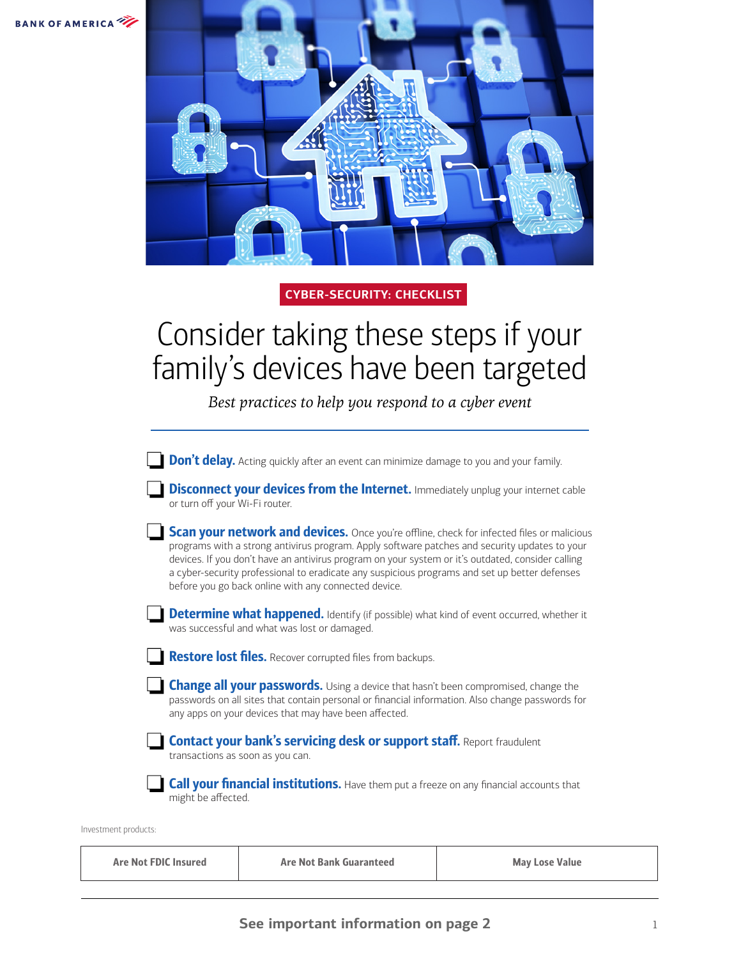



## **CYBER-SECURITY: CHECKLIST**

## Consider taking these steps if your family's devices have been targeted

*Best practices to help you respond to a cyber event*

**Don't delay.** Acting quickly after an event can minimize damage to you and your family.

**Disconnect your devices from the Internet.** Immediately unplug your internet cable or turn off your Wi-Fi router.

Scan your network and devices. Once you're offline, check for infected files or malicious programs with a strong antivirus program. Apply software patches and security updates to your devices. If you don't have an antivirus program on your system or it's outdated, consider calling a cyber-security professional to eradicate any suspicious programs and set up better defenses before you go back online with any connected device.

**Determine what happened.** Identify (if possible) what kind of event occurred, whether it was successful and what was lost or damaged.

Restore lost files. Recover corrupted files from backups.

**Change all your passwords.** Using a device that hasn't been compromised, change the passwords on all sites that contain personal or financial information. Also change passwords for any apps on your devices that may have been affected.

Contact your bank's servicing desk or support staff. Report fraudulent transactions as soon as you can.

**Call your financial institutions.** Have them put a freeze on any financial accounts that might be affected.

Investment products:

| Are Not FDIC Insured | <b>Are Not Bank Guaranteed</b> | <b>May Lose Value</b> |
|----------------------|--------------------------------|-----------------------|
|                      |                                |                       |